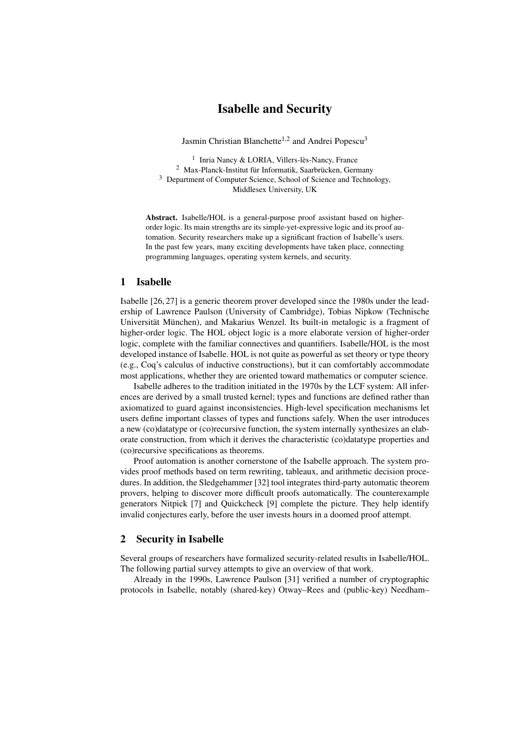# Isabelle and Security

Jasmin Christian Blanchette<sup>1,2</sup> and Andrei Popescu<sup>3</sup>

1 Inria Nancy & LORIA, Villers-lès-Nancy, France <sup>2</sup> Max-Planck-Institut für Informatik, Saarbrücken, Germany <sup>3</sup> Department of Computer Science, School of Science and Technology, Middlesex University, UK

Abstract. Isabelle/HOL is a general-purpose proof assistant based on higherorder logic. Its main strengths are its simple-yet-expressive logic and its proof automation. Security researchers make up a significant fraction of Isabelle's users. In the past few years, many exciting developments have taken place, connecting programming languages, operating system kernels, and security.

### 1 Isabelle

Isabelle [\[26,](#page-3-0) [27\]](#page-3-1) is a generic theorem prover developed since the 1980s under the leadership of Lawrence Paulson (University of Cambridge), Tobias Nipkow (Technische Universität München), and Makarius Wenzel. Its built-in metalogic is a fragment of higher-order logic. The HOL object logic is a more elaborate version of higher-order logic, complete with the familiar connectives and quantifiers. Isabelle/HOL is the most developed instance of Isabelle. HOL is not quite as powerful as set theory or type theory (e.g., Coq's calculus of inductive constructions), but it can comfortably accommodate most applications, whether they are oriented toward mathematics or computer science.

Isabelle adheres to the tradition initiated in the 1970s by the LCF system: All inferences are derived by a small trusted kernel; types and functions are defined rather than axiomatized to guard against inconsistencies. High-level specification mechanisms let users define important classes of types and functions safely. When the user introduces a new (co)datatype or (co)recursive function, the system internally synthesizes an elaborate construction, from which it derives the characteristic (co)datatype properties and (co)recursive specifications as theorems.

Proof automation is another cornerstone of the Isabelle approach. The system provides proof methods based on term rewriting, tableaux, and arithmetic decision procedures. In addition, the Sledgehammer [\[32\]](#page-4-0) tool integrates third-party automatic theorem provers, helping to discover more difficult proofs automatically. The counterexample generators Nitpick [\[7\]](#page-2-0) and Quickcheck [\[9\]](#page-2-1) complete the picture. They help identify invalid conjectures early, before the user invests hours in a doomed proof attempt.

#### 2 Security in Isabelle

Several groups of researchers have formalized security-related results in Isabelle/HOL. The following partial survey attempts to give an overview of that work.

Already in the 1990s, Lawrence Paulson [\[31\]](#page-3-2) verified a number of cryptographic protocols in Isabelle, notably (shared-key) Otway–Rees and (public-key) Needham–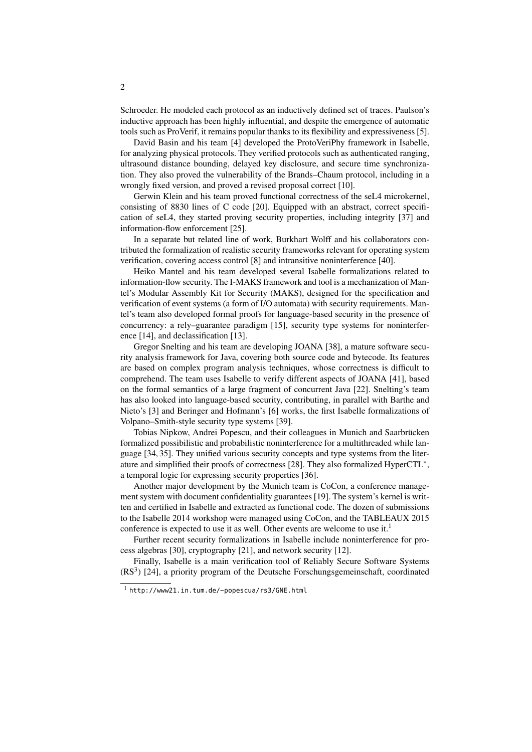Schroeder. He modeled each protocol as an inductively defined set of traces. Paulson's inductive approach has been highly influential, and despite the emergence of automatic tools such as ProVerif, it remains popular thanks to its flexibility and expressiveness [\[5\]](#page-2-2).

David Basin and his team [\[4\]](#page-2-3) developed the ProtoVeriPhy framework in Isabelle, for analyzing physical protocols. They verified protocols such as authenticated ranging, ultrasound distance bounding, delayed key disclosure, and secure time synchronization. They also proved the vulnerability of the Brands–Chaum protocol, including in a wrongly fixed version, and proved a revised proposal correct [\[10\]](#page-2-4).

Gerwin Klein and his team proved functional correctness of the seL4 microkernel, consisting of 8830 lines of C code [\[20\]](#page-3-3). Equipped with an abstract, correct specification of seL4, they started proving security properties, including integrity [\[37\]](#page-4-1) and information-flow enforcement [\[25\]](#page-3-4).

In a separate but related line of work, Burkhart Wolff and his collaborators contributed the formalization of realistic security frameworks relevant for operating system verification, covering access control [\[8\]](#page-2-5) and intransitive noninterference [\[40\]](#page-4-2).

Heiko Mantel and his team developed several Isabelle formalizations related to information-flow security. The I-MAKS framework and tool is a mechanization of Mantel's Modular Assembly Kit for Security (MAKS), designed for the specification and verification of event systems (a form of I/O automata) with security requirements. Mantel's team also developed formal proofs for language-based security in the presence of concurrency: a rely–guarantee paradigm [\[15\]](#page-3-5), security type systems for noninterference [\[14\]](#page-3-6), and declassification [\[13\]](#page-3-7).

Gregor Snelting and his team are developing JOANA [\[38\]](#page-4-3), a mature software security analysis framework for Java, covering both source code and bytecode. Its features are based on complex program analysis techniques, whose correctness is difficult to comprehend. The team uses Isabelle to verify different aspects of JOANA [\[41\]](#page-4-4), based on the formal semantics of a large fragment of concurrent Java [\[22\]](#page-3-8). Snelting's team has also looked into language-based security, contributing, in parallel with Barthe and Nieto's [\[3\]](#page-2-6) and Beringer and Hofmann's [\[6\]](#page-2-7) works, the first Isabelle formalizations of Volpano–Smith-style security type systems [\[39\]](#page-4-5).

Tobias Nipkow, Andrei Popescu, and their colleagues in Munich and Saarbrücken formalized possibilistic and probabilistic noninterference for a multithreaded while language [\[34,](#page-4-6) [35\]](#page-4-7). They unified various security concepts and type systems from the liter-ature and simplified their proofs of correctness [\[28\]](#page-3-9). They also formalized HyperCTL<sup>\*</sup>, a temporal logic for expressing security properties [\[36\]](#page-4-8).

Another major development by the Munich team is CoCon, a conference management system with document confidentiality guarantees [\[19\]](#page-3-10). The system's kernel is written and certified in Isabelle and extracted as functional code. The dozen of submissions to the Isabelle 2014 workshop were managed using CoCon, and the TABLEAUX 2015 conference is expected to use it as well. Other events are welcome to use it.<sup>[1](#page-1-0)</sup>

Further recent security formalizations in Isabelle include noninterference for process algebras [\[30\]](#page-3-11), cryptography [\[21\]](#page-3-12), and network security [\[12\]](#page-3-13).

Finally, Isabelle is a main verification tool of Reliably Secure Software Systems  $(RS<sup>3</sup>)$  [\[24\]](#page-3-14), a priority program of the Deutsche Forschungsgemeinschaft, coordinated

<span id="page-1-0"></span><sup>1</sup> <http://www21.in.tum.de/~popescua/rs3/GNE.html>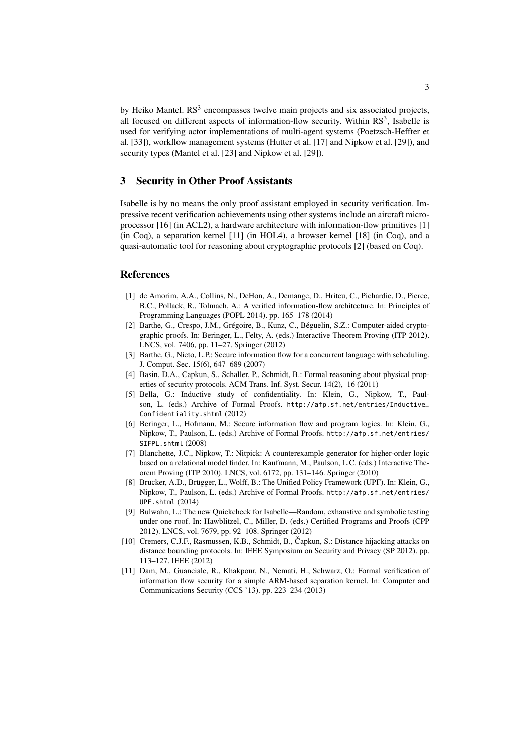by Heiko Mantel. RS<sup>3</sup> encompasses twelve main projects and six associated projects, all focused on different aspects of information-flow security. Within  $RS<sup>3</sup>$ , Isabelle is used for verifying actor implementations of multi-agent systems (Poetzsch-Heffter et al. [\[33\]](#page-4-9)), workflow management systems (Hutter et al. [\[17\]](#page-3-15) and Nipkow et al. [\[29\]](#page-3-16)), and security types (Mantel et al. [\[23\]](#page-3-17) and Nipkow et al. [\[29\]](#page-3-16)).

## 3 Security in Other Proof Assistants

Isabelle is by no means the only proof assistant employed in security verification. Impressive recent verification achievements using other systems include an aircraft microprocessor [\[16\]](#page-3-18) (in ACL2), a hardware architecture with information-flow primitives [\[1\]](#page-2-8) (in Coq), a separation kernel [\[11\]](#page-2-9) (in HOL4), a browser kernel [\[18\]](#page-3-19) (in Coq), and a quasi-automatic tool for reasoning about cryptographic protocols [\[2\]](#page-2-10) (based on Coq).

#### References

- <span id="page-2-8"></span>[1] de Amorim, A.A., Collins, N., DeHon, A., Demange, D., Hritcu, C., Pichardie, D., Pierce, B.C., Pollack, R., Tolmach, A.: A verified information-flow architecture. In: Principles of Programming Languages (POPL 2014). pp. 165–178 (2014)
- <span id="page-2-10"></span>[2] Barthe, G., Crespo, J.M., Grégoire, B., Kunz, C., Béguelin, S.Z.: Computer-aided cryptographic proofs. In: Beringer, L., Felty, A. (eds.) Interactive Theorem Proving (ITP 2012). LNCS, vol. 7406, pp. 11–27. Springer (2012)
- <span id="page-2-6"></span>[3] Barthe, G., Nieto, L.P.: Secure information flow for a concurrent language with scheduling. J. Comput. Sec. 15(6), 647–689 (2007)
- <span id="page-2-3"></span>[4] Basin, D.A., Capkun, S., Schaller, P., Schmidt, B.: Formal reasoning about physical properties of security protocols. ACM Trans. Inf. Syst. Secur. 14(2), 16 (2011)
- <span id="page-2-2"></span>[5] Bella, G.: Inductive study of confidentiality. In: Klein, G., Nipkow, T., Paulson, L. (eds.) Archive of Formal Proofs. [http://afp.sf.net/entries/Inductive\\_](http://afp.sf.net/entries/Inductive_Confidentiality.shtml) [Confidentiality.shtml](http://afp.sf.net/entries/Inductive_Confidentiality.shtml) (2012)
- <span id="page-2-7"></span>[6] Beringer, L., Hofmann, M.: Secure information flow and program logics. In: Klein, G., Nipkow, T., Paulson, L. (eds.) Archive of Formal Proofs. [http://afp.sf.net/entries/](http://afp.sf.net/entries/SIFPL.shtml) [SIFPL.shtml](http://afp.sf.net/entries/SIFPL.shtml) (2008)
- <span id="page-2-0"></span>[7] Blanchette, J.C., Nipkow, T.: Nitpick: A counterexample generator for higher-order logic based on a relational model finder. In: Kaufmann, M., Paulson, L.C. (eds.) Interactive Theorem Proving (ITP 2010). LNCS, vol. 6172, pp. 131–146. Springer (2010)
- <span id="page-2-5"></span>[8] Brucker, A.D., Brügger, L., Wolff, B.: The Unified Policy Framework (UPF). In: Klein, G., Nipkow, T., Paulson, L. (eds.) Archive of Formal Proofs. [http://afp.sf.net/entries/](http://afp.sf.net/entries/UPF.shtml) [UPF.shtml](http://afp.sf.net/entries/UPF.shtml) (2014)
- <span id="page-2-1"></span>[9] Bulwahn, L.: The new Quickcheck for Isabelle—Random, exhaustive and symbolic testing under one roof. In: Hawblitzel, C., Miller, D. (eds.) Certified Programs and Proofs (CPP 2012). LNCS, vol. 7679, pp. 92–108. Springer (2012)
- <span id="page-2-4"></span>[10] Cremers, C.J.F., Rasmussen, K.B., Schmidt, B., Čapkun, S.: Distance hijacking attacks on distance bounding protocols. In: IEEE Symposium on Security and Privacy (SP 2012). pp. 113–127. IEEE (2012)
- <span id="page-2-9"></span>[11] Dam, M., Guanciale, R., Khakpour, N., Nemati, H., Schwarz, O.: Formal verification of information flow security for a simple ARM-based separation kernel. In: Computer and Communications Security (CCS '13). pp. 223–234 (2013)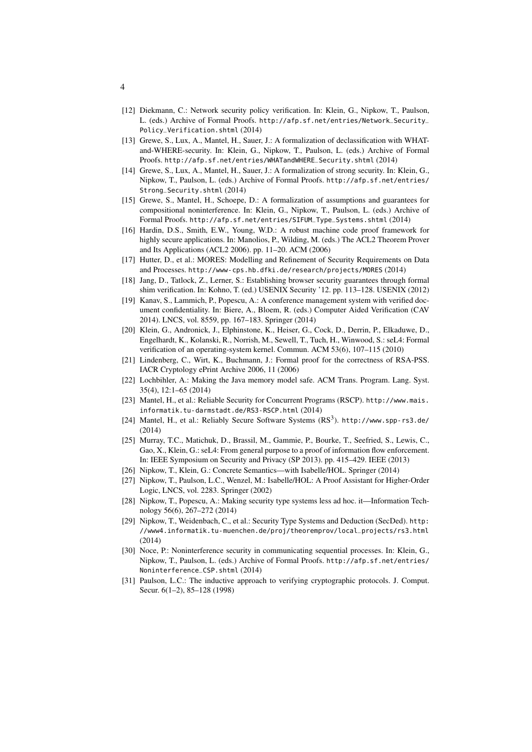- <span id="page-3-13"></span>[12] Diekmann, C.: Network security policy verification. In: Klein, G., Nipkow, T., Paulson, L. (eds.) Archive of Formal Proofs. [http://afp.sf.net/entries/Network\\_Security\\_](http://afp.sf.net/entries/Network_Security_Policy_Verification.shtml) [Policy\\_Verification.shtml](http://afp.sf.net/entries/Network_Security_Policy_Verification.shtml) (2014)
- <span id="page-3-7"></span>[13] Grewe, S., Lux, A., Mantel, H., Sauer, J.: A formalization of declassification with WHATand-WHERE-security. In: Klein, G., Nipkow, T., Paulson, L. (eds.) Archive of Formal Proofs. [http://afp.sf.net/entries/WHATandWHERE\\_Security.shtml](http://afp.sf.net/entries/WHATandWHERE_Security.shtml) (2014)
- <span id="page-3-6"></span>[14] Grewe, S., Lux, A., Mantel, H., Sauer, J.: A formalization of strong security. In: Klein, G., Nipkow, T., Paulson, L. (eds.) Archive of Formal Proofs. [http://afp.sf.net/entries/](http://afp.sf.net/entries/Strong_Security.shtml) [Strong\\_Security.shtml](http://afp.sf.net/entries/Strong_Security.shtml) (2014)
- <span id="page-3-5"></span>[15] Grewe, S., Mantel, H., Schoepe, D.: A formalization of assumptions and guarantees for compositional noninterference. In: Klein, G., Nipkow, T., Paulson, L. (eds.) Archive of Formal Proofs. [http://afp.sf.net/entries/SIFUM\\_Type\\_Systems.shtml](http://afp.sf.net/entries/SIFUM_Type_Systems.shtml) (2014)
- <span id="page-3-18"></span>[16] Hardin, D.S., Smith, E.W., Young, W.D.: A robust machine code proof framework for highly secure applications. In: Manolios, P., Wilding, M. (eds.) The ACL2 Theorem Prover and Its Applications (ACL2 2006). pp. 11–20. ACM (2006)
- <span id="page-3-15"></span>[17] Hutter, D., et al.: MORES: Modelling and Refinement of Security Requirements on Data and Processes. <http://www-cps.hb.dfki.de/research/projects/MORES> (2014)
- <span id="page-3-19"></span>[18] Jang, D., Tatlock, Z., Lerner, S.: Establishing browser security guarantees through formal shim verification. In: Kohno, T. (ed.) USENIX Security '12. pp. 113–128. USENIX (2012)
- <span id="page-3-10"></span>[19] Kanav, S., Lammich, P., Popescu, A.: A conference management system with verified document confidentiality. In: Biere, A., Bloem, R. (eds.) Computer Aided Verification (CAV 2014). LNCS, vol. 8559, pp. 167–183. Springer (2014)
- <span id="page-3-3"></span>[20] Klein, G., Andronick, J., Elphinstone, K., Heiser, G., Cock, D., Derrin, P., Elkaduwe, D., Engelhardt, K., Kolanski, R., Norrish, M., Sewell, T., Tuch, H., Winwood, S.: seL4: Formal verification of an operating-system kernel. Commun. ACM 53(6), 107–115 (2010)
- <span id="page-3-12"></span>[21] Lindenberg, C., Wirt, K., Buchmann, J.: Formal proof for the correctness of RSA-PSS. IACR Cryptology ePrint Archive 2006, 11 (2006)
- <span id="page-3-8"></span>[22] Lochbihler, A.: Making the Java memory model safe. ACM Trans. Program. Lang. Syst. 35(4), 12:1–65 (2014)
- <span id="page-3-17"></span>[23] Mantel, H., et al.: Reliable Security for Concurrent Programs (RSCP). [http://www.mais.](http://www.mais.informatik.tu-darmstadt.de/RS3-RSCP.html) [informatik.tu-darmstadt.de/RS3-RSCP.html](http://www.mais.informatik.tu-darmstadt.de/RS3-RSCP.html) (2014)
- <span id="page-3-14"></span>[24] Mantel, H., et al.: Reliably Secure Software Systems (RS3). <http://www.spp-rs3.de/> (2014)
- <span id="page-3-4"></span>[25] Murray, T.C., Matichuk, D., Brassil, M., Gammie, P., Bourke, T., Seefried, S., Lewis, C., Gao, X., Klein, G.: seL4: From general purpose to a proof of information flow enforcement. In: IEEE Symposium on Security and Privacy (SP 2013). pp. 415–429. IEEE (2013)
- <span id="page-3-0"></span>[26] Nipkow, T., Klein, G.: Concrete Semantics—with Isabelle/HOL. Springer (2014)
- <span id="page-3-1"></span>[27] Nipkow, T., Paulson, L.C., Wenzel, M.: Isabelle/HOL: A Proof Assistant for Higher-Order Logic, LNCS, vol. 2283. Springer (2002)
- <span id="page-3-9"></span>[28] Nipkow, T., Popescu, A.: Making security type systems less ad hoc. it—Information Technology 56(6), 267–272 (2014)
- <span id="page-3-16"></span>[29] Nipkow, T., Weidenbach, C., et al.: Security Type Systems and Deduction (SecDed). [http:](http://www4.informatik.tu-muenchen.de/proj/theoremprov/local_projects/rs3.html) [//www4.informatik.tu-muenchen.de/proj/theoremprov/local\\_projects/rs3.html](http://www4.informatik.tu-muenchen.de/proj/theoremprov/local_projects/rs3.html) (2014)
- <span id="page-3-11"></span>[30] Noce, P.: Noninterference security in communicating sequential processes. In: Klein, G., Nipkow, T., Paulson, L. (eds.) Archive of Formal Proofs. [http://afp.sf.net/entries/](http://afp.sf.net/entries/Noninterference_CSP.shtml) [Noninterference\\_CSP.shtml](http://afp.sf.net/entries/Noninterference_CSP.shtml) (2014)
- <span id="page-3-2"></span>[31] Paulson, L.C.: The inductive approach to verifying cryptographic protocols. J. Comput. Secur. 6(1–2), 85–128 (1998)

4